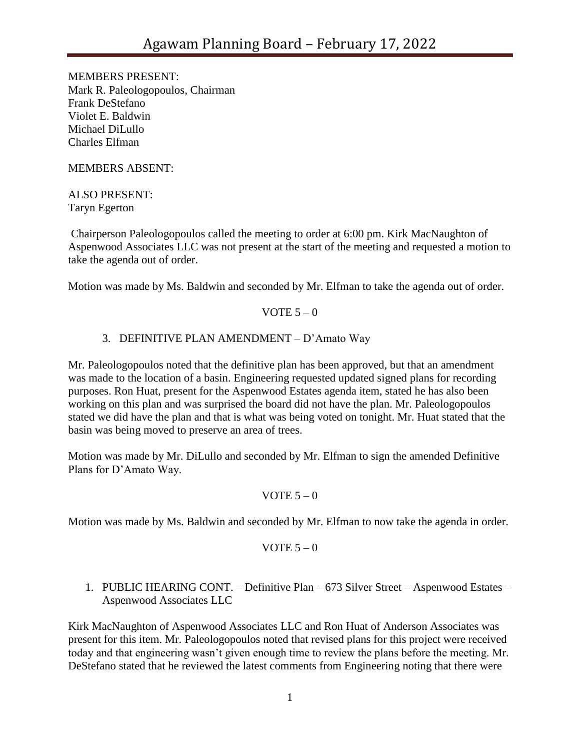MEMBERS PRESENT: Mark R. Paleologopoulos, Chairman Frank DeStefano Violet E. Baldwin Michael DiLullo Charles Elfman

MEMBERS ABSENT:

ALSO PRESENT: Taryn Egerton

Chairperson Paleologopoulos called the meeting to order at 6:00 pm. Kirk MacNaughton of Aspenwood Associates LLC was not present at the start of the meeting and requested a motion to take the agenda out of order.

Motion was made by Ms. Baldwin and seconded by Mr. Elfman to take the agenda out of order.

### VOTE  $5-0$

# 3. DEFINITIVE PLAN AMENDMENT – D'Amato Way

Mr. Paleologopoulos noted that the definitive plan has been approved, but that an amendment was made to the location of a basin. Engineering requested updated signed plans for recording purposes. Ron Huat, present for the Aspenwood Estates agenda item, stated he has also been working on this plan and was surprised the board did not have the plan. Mr. Paleologopoulos stated we did have the plan and that is what was being voted on tonight. Mr. Huat stated that the basin was being moved to preserve an area of trees.

Motion was made by Mr. DiLullo and seconded by Mr. Elfman to sign the amended Definitive Plans for D'Amato Way.

# VOTE  $5 - 0$

Motion was made by Ms. Baldwin and seconded by Mr. Elfman to now take the agenda in order.

$$
VOTE 5-0
$$

# 1. PUBLIC HEARING CONT. – Definitive Plan – 673 Silver Street – Aspenwood Estates – Aspenwood Associates LLC

Kirk MacNaughton of Aspenwood Associates LLC and Ron Huat of Anderson Associates was present for this item. Mr. Paleologopoulos noted that revised plans for this project were received today and that engineering wasn't given enough time to review the plans before the meeting. Mr. DeStefano stated that he reviewed the latest comments from Engineering noting that there were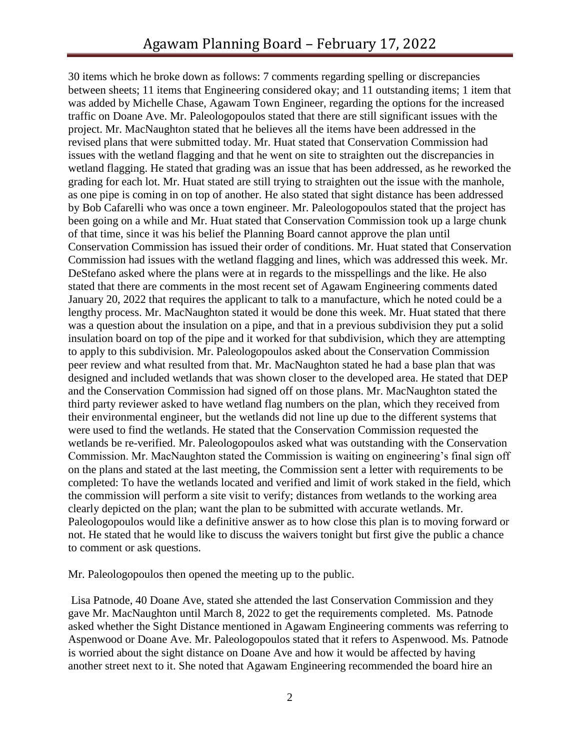30 items which he broke down as follows: 7 comments regarding spelling or discrepancies between sheets; 11 items that Engineering considered okay; and 11 outstanding items; 1 item that was added by Michelle Chase, Agawam Town Engineer, regarding the options for the increased traffic on Doane Ave. Mr. Paleologopoulos stated that there are still significant issues with the project. Mr. MacNaughton stated that he believes all the items have been addressed in the revised plans that were submitted today. Mr. Huat stated that Conservation Commission had issues with the wetland flagging and that he went on site to straighten out the discrepancies in wetland flagging. He stated that grading was an issue that has been addressed, as he reworked the grading for each lot. Mr. Huat stated are still trying to straighten out the issue with the manhole, as one pipe is coming in on top of another. He also stated that sight distance has been addressed by Bob Cafarelli who was once a town engineer. Mr. Paleologopoulos stated that the project has been going on a while and Mr. Huat stated that Conservation Commission took up a large chunk of that time, since it was his belief the Planning Board cannot approve the plan until Conservation Commission has issued their order of conditions. Mr. Huat stated that Conservation Commission had issues with the wetland flagging and lines, which was addressed this week. Mr. DeStefano asked where the plans were at in regards to the misspellings and the like. He also stated that there are comments in the most recent set of Agawam Engineering comments dated January 20, 2022 that requires the applicant to talk to a manufacture, which he noted could be a lengthy process. Mr. MacNaughton stated it would be done this week. Mr. Huat stated that there was a question about the insulation on a pipe, and that in a previous subdivision they put a solid insulation board on top of the pipe and it worked for that subdivision, which they are attempting to apply to this subdivision. Mr. Paleologopoulos asked about the Conservation Commission peer review and what resulted from that. Mr. MacNaughton stated he had a base plan that was designed and included wetlands that was shown closer to the developed area. He stated that DEP and the Conservation Commission had signed off on those plans. Mr. MacNaughton stated the third party reviewer asked to have wetland flag numbers on the plan, which they received from their environmental engineer, but the wetlands did not line up due to the different systems that were used to find the wetlands. He stated that the Conservation Commission requested the wetlands be re-verified. Mr. Paleologopoulos asked what was outstanding with the Conservation Commission. Mr. MacNaughton stated the Commission is waiting on engineering's final sign off on the plans and stated at the last meeting, the Commission sent a letter with requirements to be completed: To have the wetlands located and verified and limit of work staked in the field, which the commission will perform a site visit to verify; distances from wetlands to the working area clearly depicted on the plan; want the plan to be submitted with accurate wetlands. Mr. Paleologopoulos would like a definitive answer as to how close this plan is to moving forward or not. He stated that he would like to discuss the waivers tonight but first give the public a chance to comment or ask questions.

Mr. Paleologopoulos then opened the meeting up to the public.

Lisa Patnode, 40 Doane Ave, stated she attended the last Conservation Commission and they gave Mr. MacNaughton until March 8, 2022 to get the requirements completed. Ms. Patnode asked whether the Sight Distance mentioned in Agawam Engineering comments was referring to Aspenwood or Doane Ave. Mr. Paleologopoulos stated that it refers to Aspenwood. Ms. Patnode is worried about the sight distance on Doane Ave and how it would be affected by having another street next to it. She noted that Agawam Engineering recommended the board hire an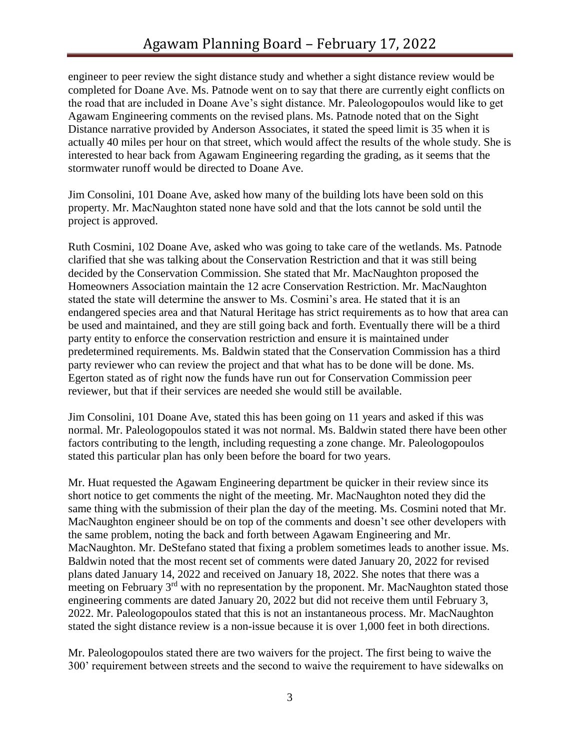engineer to peer review the sight distance study and whether a sight distance review would be completed for Doane Ave. Ms. Patnode went on to say that there are currently eight conflicts on the road that are included in Doane Ave's sight distance. Mr. Paleologopoulos would like to get Agawam Engineering comments on the revised plans. Ms. Patnode noted that on the Sight Distance narrative provided by Anderson Associates, it stated the speed limit is 35 when it is actually 40 miles per hour on that street, which would affect the results of the whole study. She is interested to hear back from Agawam Engineering regarding the grading, as it seems that the stormwater runoff would be directed to Doane Ave.

Jim Consolini, 101 Doane Ave, asked how many of the building lots have been sold on this property. Mr. MacNaughton stated none have sold and that the lots cannot be sold until the project is approved.

Ruth Cosmini, 102 Doane Ave, asked who was going to take care of the wetlands. Ms. Patnode clarified that she was talking about the Conservation Restriction and that it was still being decided by the Conservation Commission. She stated that Mr. MacNaughton proposed the Homeowners Association maintain the 12 acre Conservation Restriction. Mr. MacNaughton stated the state will determine the answer to Ms. Cosmini's area. He stated that it is an endangered species area and that Natural Heritage has strict requirements as to how that area can be used and maintained, and they are still going back and forth. Eventually there will be a third party entity to enforce the conservation restriction and ensure it is maintained under predetermined requirements. Ms. Baldwin stated that the Conservation Commission has a third party reviewer who can review the project and that what has to be done will be done. Ms. Egerton stated as of right now the funds have run out for Conservation Commission peer reviewer, but that if their services are needed she would still be available.

Jim Consolini, 101 Doane Ave, stated this has been going on 11 years and asked if this was normal. Mr. Paleologopoulos stated it was not normal. Ms. Baldwin stated there have been other factors contributing to the length, including requesting a zone change. Mr. Paleologopoulos stated this particular plan has only been before the board for two years.

Mr. Huat requested the Agawam Engineering department be quicker in their review since its short notice to get comments the night of the meeting. Mr. MacNaughton noted they did the same thing with the submission of their plan the day of the meeting. Ms. Cosmini noted that Mr. MacNaughton engineer should be on top of the comments and doesn't see other developers with the same problem, noting the back and forth between Agawam Engineering and Mr. MacNaughton. Mr. DeStefano stated that fixing a problem sometimes leads to another issue. Ms. Baldwin noted that the most recent set of comments were dated January 20, 2022 for revised plans dated January 14, 2022 and received on January 18, 2022. She notes that there was a meeting on February 3<sup>rd</sup> with no representation by the proponent. Mr. MacNaughton stated those engineering comments are dated January 20, 2022 but did not receive them until February 3, 2022. Mr. Paleologopoulos stated that this is not an instantaneous process. Mr. MacNaughton stated the sight distance review is a non-issue because it is over 1,000 feet in both directions.

Mr. Paleologopoulos stated there are two waivers for the project. The first being to waive the 300' requirement between streets and the second to waive the requirement to have sidewalks on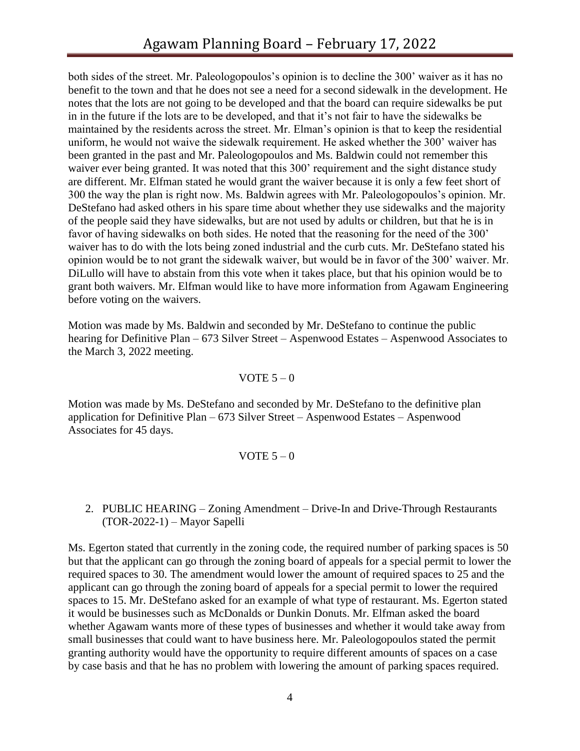both sides of the street. Mr. Paleologopoulos's opinion is to decline the 300' waiver as it has no benefit to the town and that he does not see a need for a second sidewalk in the development. He notes that the lots are not going to be developed and that the board can require sidewalks be put in in the future if the lots are to be developed, and that it's not fair to have the sidewalks be maintained by the residents across the street. Mr. Elman's opinion is that to keep the residential uniform, he would not waive the sidewalk requirement. He asked whether the 300' waiver has been granted in the past and Mr. Paleologopoulos and Ms. Baldwin could not remember this waiver ever being granted. It was noted that this 300' requirement and the sight distance study are different. Mr. Elfman stated he would grant the waiver because it is only a few feet short of 300 the way the plan is right now. Ms. Baldwin agrees with Mr. Paleologopoulos's opinion. Mr. DeStefano had asked others in his spare time about whether they use sidewalks and the majority of the people said they have sidewalks, but are not used by adults or children, but that he is in favor of having sidewalks on both sides. He noted that the reasoning for the need of the 300' waiver has to do with the lots being zoned industrial and the curb cuts. Mr. DeStefano stated his opinion would be to not grant the sidewalk waiver, but would be in favor of the 300' waiver. Mr. DiLullo will have to abstain from this vote when it takes place, but that his opinion would be to grant both waivers. Mr. Elfman would like to have more information from Agawam Engineering before voting on the waivers.

Motion was made by Ms. Baldwin and seconded by Mr. DeStefano to continue the public hearing for Definitive Plan – 673 Silver Street – Aspenwood Estates – Aspenwood Associates to the March 3, 2022 meeting.

#### VOTE  $5-0$

Motion was made by Ms. DeStefano and seconded by Mr. DeStefano to the definitive plan application for Definitive Plan – 673 Silver Street – Aspenwood Estates – Aspenwood Associates for 45 days.

#### VOTE  $5-0$

### 2. PUBLIC HEARING – Zoning Amendment – Drive-In and Drive-Through Restaurants (TOR-2022-1) – Mayor Sapelli

Ms. Egerton stated that currently in the zoning code, the required number of parking spaces is 50 but that the applicant can go through the zoning board of appeals for a special permit to lower the required spaces to 30. The amendment would lower the amount of required spaces to 25 and the applicant can go through the zoning board of appeals for a special permit to lower the required spaces to 15. Mr. DeStefano asked for an example of what type of restaurant. Ms. Egerton stated it would be businesses such as McDonalds or Dunkin Donuts. Mr. Elfman asked the board whether Agawam wants more of these types of businesses and whether it would take away from small businesses that could want to have business here. Mr. Paleologopoulos stated the permit granting authority would have the opportunity to require different amounts of spaces on a case by case basis and that he has no problem with lowering the amount of parking spaces required.